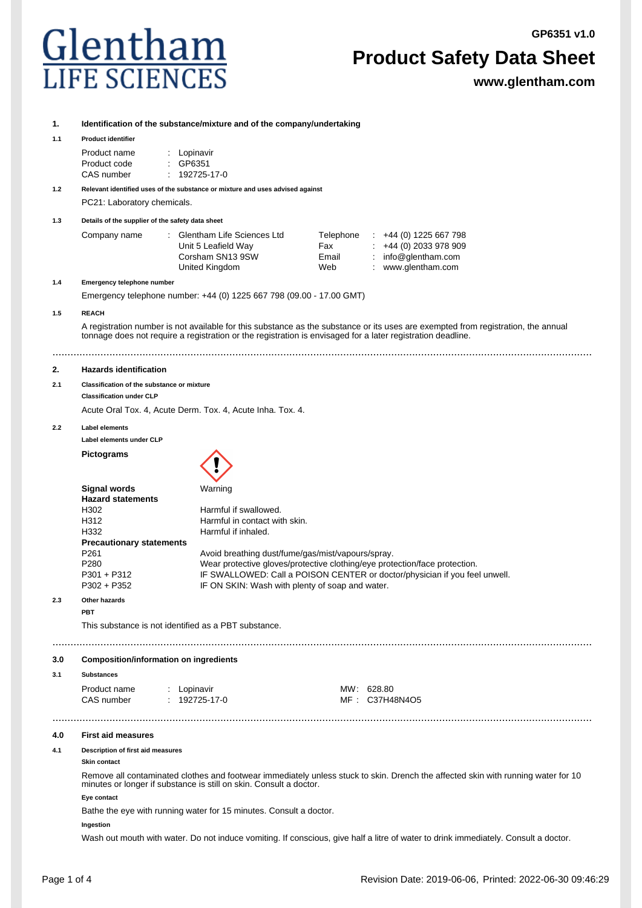# Glentham

# **Product Safety Data Sheet**

**www.glentham.com**

| 1.  |                                                                                                                                                                                                                                                  | Identification of the substance/mixture and of the company/undertaking        |            |                                                                                                                                                          |  |  |  |
|-----|--------------------------------------------------------------------------------------------------------------------------------------------------------------------------------------------------------------------------------------------------|-------------------------------------------------------------------------------|------------|----------------------------------------------------------------------------------------------------------------------------------------------------------|--|--|--|
| 1.1 | <b>Product identifier</b>                                                                                                                                                                                                                        |                                                                               |            |                                                                                                                                                          |  |  |  |
|     | Product name                                                                                                                                                                                                                                     | Lopinavir                                                                     |            |                                                                                                                                                          |  |  |  |
|     | Product code                                                                                                                                                                                                                                     | GP6351                                                                        |            |                                                                                                                                                          |  |  |  |
|     | CAS number                                                                                                                                                                                                                                       | 192725-17-0                                                                   |            |                                                                                                                                                          |  |  |  |
| 1.2 |                                                                                                                                                                                                                                                  | Relevant identified uses of the substance or mixture and uses advised against |            |                                                                                                                                                          |  |  |  |
|     | PC21: Laboratory chemicals.                                                                                                                                                                                                                      |                                                                               |            |                                                                                                                                                          |  |  |  |
| 1.3 | Details of the supplier of the safety data sheet                                                                                                                                                                                                 |                                                                               |            |                                                                                                                                                          |  |  |  |
|     | Company name                                                                                                                                                                                                                                     | Glentham Life Sciences Ltd                                                    | Telephone  | $\div$ +44 (0) 1225 667 798                                                                                                                              |  |  |  |
|     |                                                                                                                                                                                                                                                  | Unit 5 Leafield Way                                                           | Fax        | $\div$ +44 (0) 2033 978 909                                                                                                                              |  |  |  |
|     |                                                                                                                                                                                                                                                  | Corsham SN13 9SW                                                              | Email      | : $info@qlentham.com$                                                                                                                                    |  |  |  |
|     |                                                                                                                                                                                                                                                  | United Kingdom                                                                | Web        | www.glentham.com                                                                                                                                         |  |  |  |
| 1.4 | Emergency telephone number                                                                                                                                                                                                                       |                                                                               |            |                                                                                                                                                          |  |  |  |
|     | Emergency telephone number: +44 (0) 1225 667 798 (09.00 - 17.00 GMT)                                                                                                                                                                             |                                                                               |            |                                                                                                                                                          |  |  |  |
| 1.5 | <b>REACH</b>                                                                                                                                                                                                                                     |                                                                               |            |                                                                                                                                                          |  |  |  |
|     | A registration number is not available for this substance as the substance or its uses are exempted from registration, the annual<br>tonnage does not require a registration or the registration is envisaged for a later registration deadline. |                                                                               |            |                                                                                                                                                          |  |  |  |
| 2.  | <b>Hazards identification</b>                                                                                                                                                                                                                    |                                                                               |            |                                                                                                                                                          |  |  |  |
| 2.1 | Classification of the substance or mixture                                                                                                                                                                                                       |                                                                               |            |                                                                                                                                                          |  |  |  |
|     | <b>Classification under CLP</b>                                                                                                                                                                                                                  |                                                                               |            |                                                                                                                                                          |  |  |  |
|     | Acute Oral Tox. 4, Acute Derm. Tox. 4, Acute Inha. Tox. 4.                                                                                                                                                                                       |                                                                               |            |                                                                                                                                                          |  |  |  |
| 2.2 | <b>Label elements</b>                                                                                                                                                                                                                            |                                                                               |            |                                                                                                                                                          |  |  |  |
|     | Label elements under CLP                                                                                                                                                                                                                         |                                                                               |            |                                                                                                                                                          |  |  |  |
|     | <b>Pictograms</b>                                                                                                                                                                                                                                |                                                                               |            |                                                                                                                                                          |  |  |  |
|     |                                                                                                                                                                                                                                                  |                                                                               |            |                                                                                                                                                          |  |  |  |
|     | Signal words                                                                                                                                                                                                                                     | Warning                                                                       |            |                                                                                                                                                          |  |  |  |
|     | <b>Hazard statements</b>                                                                                                                                                                                                                         |                                                                               |            |                                                                                                                                                          |  |  |  |
|     | H302<br>H312                                                                                                                                                                                                                                     | Harmful if swallowed.<br>Harmful in contact with skin.                        |            |                                                                                                                                                          |  |  |  |
|     | H332                                                                                                                                                                                                                                             | Harmful if inhaled.                                                           |            |                                                                                                                                                          |  |  |  |
|     | <b>Precautionary statements</b>                                                                                                                                                                                                                  |                                                                               |            |                                                                                                                                                          |  |  |  |
|     | P <sub>261</sub><br>Avoid breathing dust/fume/gas/mist/vapours/spray.                                                                                                                                                                            |                                                                               |            |                                                                                                                                                          |  |  |  |
|     | P280<br>P301 + P312                                                                                                                                                                                                                              |                                                                               |            | Wear protective gloves/protective clothing/eye protection/face protection.<br>IF SWALLOWED: Call a POISON CENTER or doctor/physician if you feel unwell. |  |  |  |
|     | P302 + P352                                                                                                                                                                                                                                      | IF ON SKIN: Wash with plenty of soap and water.                               |            |                                                                                                                                                          |  |  |  |
| 2.3 | Other hazards                                                                                                                                                                                                                                    |                                                                               |            |                                                                                                                                                          |  |  |  |
|     | <b>PBT</b>                                                                                                                                                                                                                                       |                                                                               |            |                                                                                                                                                          |  |  |  |
|     | This substance is not identified as a PBT substance.                                                                                                                                                                                             |                                                                               |            |                                                                                                                                                          |  |  |  |
| 3.0 | <b>Composition/information on ingredients</b>                                                                                                                                                                                                    |                                                                               |            |                                                                                                                                                          |  |  |  |
| 3.1 | <b>Substances</b>                                                                                                                                                                                                                                |                                                                               |            |                                                                                                                                                          |  |  |  |
|     | Product name                                                                                                                                                                                                                                     | : Lopinavir                                                                   | MW: 628.80 |                                                                                                                                                          |  |  |  |
|     | CAS number                                                                                                                                                                                                                                       | $: 192725-17-0$                                                               |            | MF: C37H48N4O5                                                                                                                                           |  |  |  |
| 4.0 | <b>First aid measures</b>                                                                                                                                                                                                                        |                                                                               |            |                                                                                                                                                          |  |  |  |
| 4.1 | Description of first aid measures<br>Skin contact                                                                                                                                                                                                |                                                                               |            |                                                                                                                                                          |  |  |  |
|     | Remove all contaminated clothes and footwear immediately unless stuck to skin. Drench the affected skin with running water for 10<br>minutes or longer if substance is still on skin. Consult a doctor.                                          |                                                                               |            |                                                                                                                                                          |  |  |  |
|     | Eye contact                                                                                                                                                                                                                                      |                                                                               |            |                                                                                                                                                          |  |  |  |
|     | Bathe the eye with running water for 15 minutes. Consult a doctor.                                                                                                                                                                               |                                                                               |            |                                                                                                                                                          |  |  |  |
|     | Ingestion                                                                                                                                                                                                                                        |                                                                               |            |                                                                                                                                                          |  |  |  |
|     | Wash out mouth with water. Do not induce vomiting. If conscious, give half a litre of water to drink immediately. Consult a doctor.                                                                                                              |                                                                               |            |                                                                                                                                                          |  |  |  |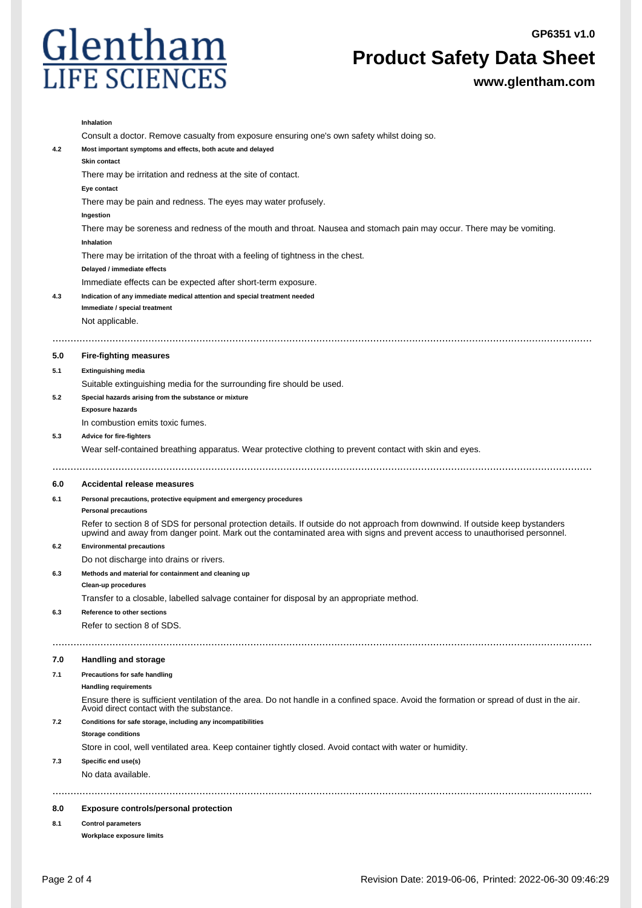

**Product Safety Data Sheet**

**www.glentham.com**

|     | Inhalation                                                                                                                                                                                                                                                    |  |  |  |  |
|-----|---------------------------------------------------------------------------------------------------------------------------------------------------------------------------------------------------------------------------------------------------------------|--|--|--|--|
|     | Consult a doctor. Remove casualty from exposure ensuring one's own safety whilst doing so.                                                                                                                                                                    |  |  |  |  |
| 4.2 | Most important symptoms and effects, both acute and delayed<br>Skin contact                                                                                                                                                                                   |  |  |  |  |
|     | There may be irritation and redness at the site of contact.<br>Eye contact                                                                                                                                                                                    |  |  |  |  |
|     | There may be pain and redness. The eyes may water profusely.                                                                                                                                                                                                  |  |  |  |  |
|     | Ingestion                                                                                                                                                                                                                                                     |  |  |  |  |
|     | There may be soreness and redness of the mouth and throat. Nausea and stomach pain may occur. There may be vomiting.                                                                                                                                          |  |  |  |  |
|     | Inhalation                                                                                                                                                                                                                                                    |  |  |  |  |
|     | There may be irritation of the throat with a feeling of tightness in the chest.                                                                                                                                                                               |  |  |  |  |
|     | Delayed / immediate effects                                                                                                                                                                                                                                   |  |  |  |  |
|     | Immediate effects can be expected after short-term exposure.                                                                                                                                                                                                  |  |  |  |  |
| 4.3 | Indication of any immediate medical attention and special treatment needed                                                                                                                                                                                    |  |  |  |  |
|     | Immediate / special treatment                                                                                                                                                                                                                                 |  |  |  |  |
|     | Not applicable.                                                                                                                                                                                                                                               |  |  |  |  |
| 5.0 | <b>Fire-fighting measures</b>                                                                                                                                                                                                                                 |  |  |  |  |
| 5.1 | <b>Extinguishing media</b>                                                                                                                                                                                                                                    |  |  |  |  |
|     | Suitable extinguishing media for the surrounding fire should be used.                                                                                                                                                                                         |  |  |  |  |
| 5.2 | Special hazards arising from the substance or mixture                                                                                                                                                                                                         |  |  |  |  |
|     | <b>Exposure hazards</b>                                                                                                                                                                                                                                       |  |  |  |  |
|     | In combustion emits toxic fumes.                                                                                                                                                                                                                              |  |  |  |  |
| 5.3 | Advice for fire-fighters                                                                                                                                                                                                                                      |  |  |  |  |
|     | Wear self-contained breathing apparatus. Wear protective clothing to prevent contact with skin and eyes.                                                                                                                                                      |  |  |  |  |
|     |                                                                                                                                                                                                                                                               |  |  |  |  |
| 6.0 | Accidental release measures                                                                                                                                                                                                                                   |  |  |  |  |
| 6.1 | Personal precautions, protective equipment and emergency procedures                                                                                                                                                                                           |  |  |  |  |
|     | <b>Personal precautions</b>                                                                                                                                                                                                                                   |  |  |  |  |
|     | Refer to section 8 of SDS for personal protection details. If outside do not approach from downwind. If outside keep bystanders<br>upwind and away from danger point. Mark out the contaminated area with signs and prevent access to unauthorised personnel. |  |  |  |  |
| 6.2 | <b>Environmental precautions</b>                                                                                                                                                                                                                              |  |  |  |  |
|     | Do not discharge into drains or rivers.                                                                                                                                                                                                                       |  |  |  |  |
| 6.3 | Methods and material for containment and cleaning up                                                                                                                                                                                                          |  |  |  |  |
|     | Clean-up procedures                                                                                                                                                                                                                                           |  |  |  |  |
|     | Transfer to a closable, labelled salvage container for disposal by an appropriate method.                                                                                                                                                                     |  |  |  |  |
| 6.3 | <b>Reference to other sections</b>                                                                                                                                                                                                                            |  |  |  |  |
|     | Refer to section 8 of SDS.                                                                                                                                                                                                                                    |  |  |  |  |
| 7.0 | <b>Handling and storage</b>                                                                                                                                                                                                                                   |  |  |  |  |
| 7.1 | Precautions for safe handling                                                                                                                                                                                                                                 |  |  |  |  |
|     | <b>Handling requirements</b>                                                                                                                                                                                                                                  |  |  |  |  |
|     | Ensure there is sufficient ventilation of the area. Do not handle in a confined space. Avoid the formation or spread of dust in the air.<br>Avoid direct contact with the substance.                                                                          |  |  |  |  |
| 7.2 | Conditions for safe storage, including any incompatibilities                                                                                                                                                                                                  |  |  |  |  |
|     | <b>Storage conditions</b>                                                                                                                                                                                                                                     |  |  |  |  |
|     | Store in cool, well ventilated area. Keep container tightly closed. Avoid contact with water or humidity.                                                                                                                                                     |  |  |  |  |
| 7.3 | Specific end use(s)                                                                                                                                                                                                                                           |  |  |  |  |
|     | No data available.                                                                                                                                                                                                                                            |  |  |  |  |
| 8.0 | <b>Exposure controls/personal protection</b>                                                                                                                                                                                                                  |  |  |  |  |
| 8.1 | <b>Control parameters</b>                                                                                                                                                                                                                                     |  |  |  |  |
|     | Workplace exposure limits                                                                                                                                                                                                                                     |  |  |  |  |
|     |                                                                                                                                                                                                                                                               |  |  |  |  |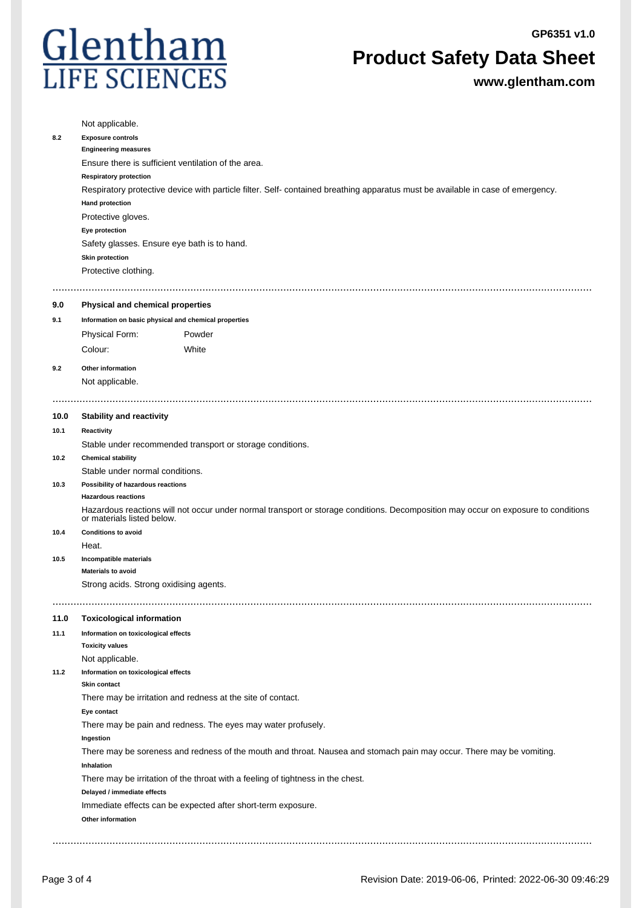

# **Product Safety Data Sheet**

**www.glentham.com**

|      | Not applicable.                                                                                                                 |                                                                                                                                    |  |  |  |  |
|------|---------------------------------------------------------------------------------------------------------------------------------|------------------------------------------------------------------------------------------------------------------------------------|--|--|--|--|
| 8.2  | <b>Exposure controls</b>                                                                                                        |                                                                                                                                    |  |  |  |  |
|      | <b>Engineering measures</b>                                                                                                     |                                                                                                                                    |  |  |  |  |
|      | Ensure there is sufficient ventilation of the area.                                                                             |                                                                                                                                    |  |  |  |  |
|      | <b>Respiratory protection</b>                                                                                                   |                                                                                                                                    |  |  |  |  |
|      | Respiratory protective device with particle filter. Self- contained breathing apparatus must be available in case of emergency. |                                                                                                                                    |  |  |  |  |
|      | <b>Hand protection</b>                                                                                                          |                                                                                                                                    |  |  |  |  |
|      | Protective gloves.                                                                                                              |                                                                                                                                    |  |  |  |  |
|      | Eye protection                                                                                                                  |                                                                                                                                    |  |  |  |  |
|      | Safety glasses. Ensure eye bath is to hand.                                                                                     |                                                                                                                                    |  |  |  |  |
|      | <b>Skin protection</b>                                                                                                          |                                                                                                                                    |  |  |  |  |
|      | Protective clothing.                                                                                                            |                                                                                                                                    |  |  |  |  |
| 9.0  | Physical and chemical properties                                                                                                |                                                                                                                                    |  |  |  |  |
| 9.1  | Information on basic physical and chemical properties                                                                           |                                                                                                                                    |  |  |  |  |
|      | <b>Physical Form:</b>                                                                                                           | Powder                                                                                                                             |  |  |  |  |
|      |                                                                                                                                 |                                                                                                                                    |  |  |  |  |
|      | Colour:                                                                                                                         | White                                                                                                                              |  |  |  |  |
| 9.2  | Other information                                                                                                               |                                                                                                                                    |  |  |  |  |
|      | Not applicable.                                                                                                                 |                                                                                                                                    |  |  |  |  |
|      |                                                                                                                                 |                                                                                                                                    |  |  |  |  |
| 10.0 | <b>Stability and reactivity</b>                                                                                                 |                                                                                                                                    |  |  |  |  |
| 10.1 | Reactivity                                                                                                                      |                                                                                                                                    |  |  |  |  |
|      |                                                                                                                                 | Stable under recommended transport or storage conditions.                                                                          |  |  |  |  |
| 10.2 | <b>Chemical stability</b>                                                                                                       |                                                                                                                                    |  |  |  |  |
|      | Stable under normal conditions.                                                                                                 |                                                                                                                                    |  |  |  |  |
| 10.3 | Possibility of hazardous reactions                                                                                              |                                                                                                                                    |  |  |  |  |
|      | <b>Hazardous reactions</b>                                                                                                      |                                                                                                                                    |  |  |  |  |
|      | or materials listed below.                                                                                                      | Hazardous reactions will not occur under normal transport or storage conditions. Decomposition may occur on exposure to conditions |  |  |  |  |
| 10.4 | <b>Conditions to avoid</b>                                                                                                      |                                                                                                                                    |  |  |  |  |
|      | Heat.                                                                                                                           |                                                                                                                                    |  |  |  |  |
| 10.5 | Incompatible materials                                                                                                          |                                                                                                                                    |  |  |  |  |
|      | <b>Materials to avoid</b>                                                                                                       |                                                                                                                                    |  |  |  |  |
|      | Strong acids. Strong oxidising agents.                                                                                          |                                                                                                                                    |  |  |  |  |
|      |                                                                                                                                 |                                                                                                                                    |  |  |  |  |
| 11.0 | <b>Toxicological information</b>                                                                                                |                                                                                                                                    |  |  |  |  |
| 11.1 | Information on toxicological effects                                                                                            |                                                                                                                                    |  |  |  |  |
|      | <b>Toxicity values</b>                                                                                                          |                                                                                                                                    |  |  |  |  |
| 11.2 | Not applicable.                                                                                                                 |                                                                                                                                    |  |  |  |  |
|      | Information on toxicological effects<br><b>Skin contact</b>                                                                     |                                                                                                                                    |  |  |  |  |
|      |                                                                                                                                 | There may be irritation and redness at the site of contact.                                                                        |  |  |  |  |
|      | Eye contact                                                                                                                     |                                                                                                                                    |  |  |  |  |
|      | There may be pain and redness. The eyes may water profusely.                                                                    |                                                                                                                                    |  |  |  |  |
|      | Ingestion                                                                                                                       |                                                                                                                                    |  |  |  |  |
|      | Inhalation                                                                                                                      | There may be soreness and redness of the mouth and throat. Nausea and stomach pain may occur. There may be vomiting.               |  |  |  |  |
|      |                                                                                                                                 |                                                                                                                                    |  |  |  |  |
|      | There may be irritation of the throat with a feeling of tightness in the chest.<br>Delayed / immediate effects                  |                                                                                                                                    |  |  |  |  |
|      | Immediate effects can be expected after short-term exposure.                                                                    |                                                                                                                                    |  |  |  |  |
|      | Other information                                                                                                               |                                                                                                                                    |  |  |  |  |
|      |                                                                                                                                 |                                                                                                                                    |  |  |  |  |
|      |                                                                                                                                 |                                                                                                                                    |  |  |  |  |